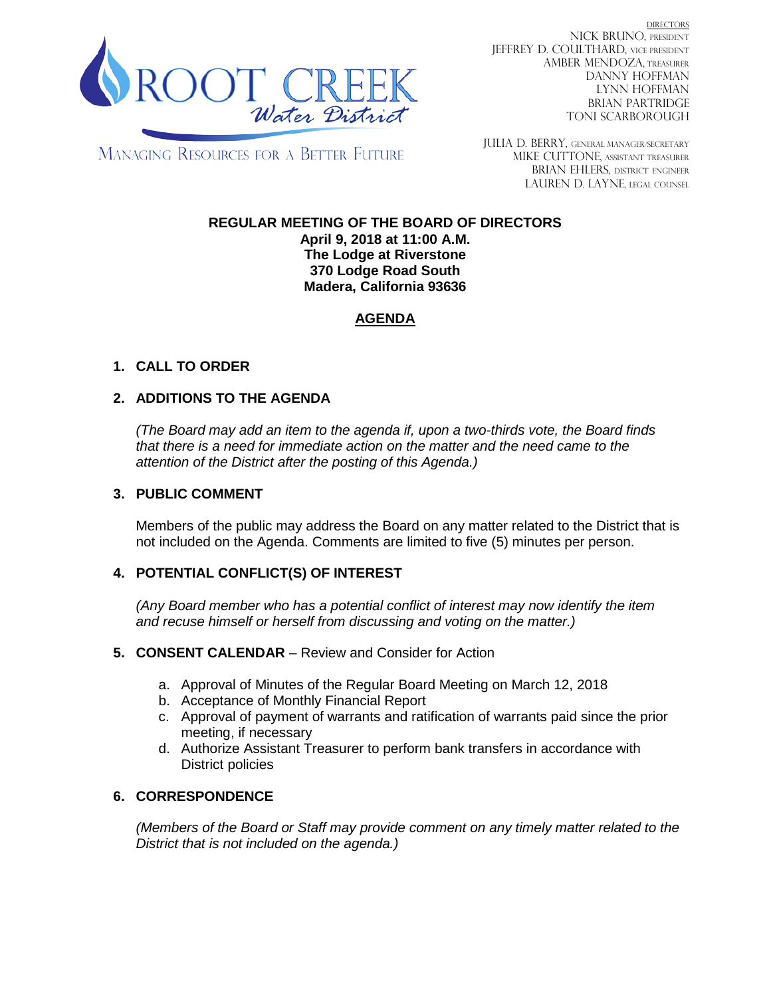

DIRECTORS NICK BRUNO, PRESIDENT JEFFREY D. COULTHARD, VICE PRESIDENT AMBER MENDOZA, TREASURER DANNY HOFFMAN LYNN HOFFMAN BRIAN PARTRIDGE TONI SCARBOROUGH

MANAGING RESOURCES FOR A BETTER FUTURE

JULIA D. BERRY, GENERAL MANAGER/SECRETARY MIKE CUTTONE, Assistant treasurer BRIAN EHLERS, DISTRICT ENGINEER LAUREN D. LAYNE, LEGAL COUNSEL

#### **REGULAR MEETING OF THE BOARD OF DIRECTORS April 9, 2018 at 11:00 A.M. The Lodge at Riverstone 370 Lodge Road South**

# **AGENDA**

**Madera, California 93636**

### **1. CALL TO ORDER**

### **2. ADDITIONS TO THE AGENDA**

*(The Board may add an item to the agenda if, upon a two-thirds vote, the Board finds that there is a need for immediate action on the matter and the need came to the attention of the District after the posting of this Agenda.)*

#### **3. PUBLIC COMMENT**

Members of the public may address the Board on any matter related to the District that is not included on the Agenda. Comments are limited to five (5) minutes per person.

### **4. POTENTIAL CONFLICT(S) OF INTEREST**

*(Any Board member who has a potential conflict of interest may now identify the item and recuse himself or herself from discussing and voting on the matter.)*

### **5. CONSENT CALENDAR** – Review and Consider for Action

- a. Approval of Minutes of the Regular Board Meeting on March 12, 2018
- b. Acceptance of Monthly Financial Report
- c. Approval of payment of warrants and ratification of warrants paid since the prior meeting, if necessary
- d. Authorize Assistant Treasurer to perform bank transfers in accordance with District policies

### **6. CORRESPONDENCE**

*(Members of the Board or Staff may provide comment on any timely matter related to the District that is not included on the agenda.)*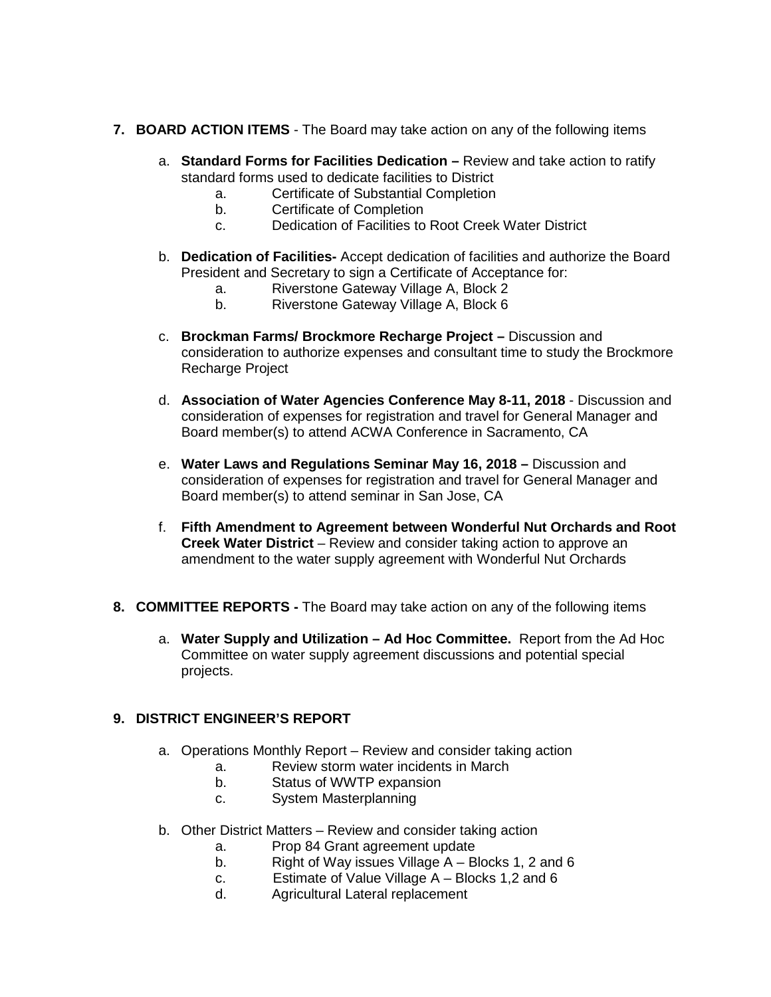- **7. BOARD ACTION ITEMS**  The Board may take action on any of the following items
	- a. **Standard Forms for Facilities Dedication –** Review and take action to ratify standard forms used to dedicate facilities to District
		- a. Certificate of Substantial Completion
		- b. Certificate of Completion
		- c. Dedication of Facilities to Root Creek Water District
	- b. **Dedication of Facilities-** Accept dedication of facilities and authorize the Board President and Secretary to sign a Certificate of Acceptance for:
		- a. Riverstone Gateway Village A, Block 2
		- b. Riverstone Gateway Village A, Block 6
	- c. **Brockman Farms/ Brockmore Recharge Project –** Discussion and consideration to authorize expenses and consultant time to study the Brockmore Recharge Project
	- d. **Association of Water Agencies Conference May 8-11, 2018** Discussion and consideration of expenses for registration and travel for General Manager and Board member(s) to attend ACWA Conference in Sacramento, CA
	- e. **Water Laws and Regulations Seminar May 16, 2018 –** Discussion and consideration of expenses for registration and travel for General Manager and Board member(s) to attend seminar in San Jose, CA
	- f. **Fifth Amendment to Agreement between Wonderful Nut Orchards and Root Creek Water District** – Review and consider taking action to approve an amendment to the water supply agreement with Wonderful Nut Orchards
- **8. COMMITTEE REPORTS -** The Board may take action on any of the following items
	- a. **Water Supply and Utilization – Ad Hoc Committee.** Report from the Ad Hoc Committee on water supply agreement discussions and potential special projects.

### **9. DISTRICT ENGINEER'S REPORT**

- a. Operations Monthly Report Review and consider taking action
	- a. Review storm water incidents in March
	- b. Status of WWTP expansion
	- c. System Masterplanning
- b. Other District Matters Review and consider taking action
	- a. Prop 84 Grant agreement update
	- b. Right of Way issues Village A Blocks 1, 2 and 6
	- c. Estimate of Value Village A Blocks 1,2 and 6
	- d. Agricultural Lateral replacement